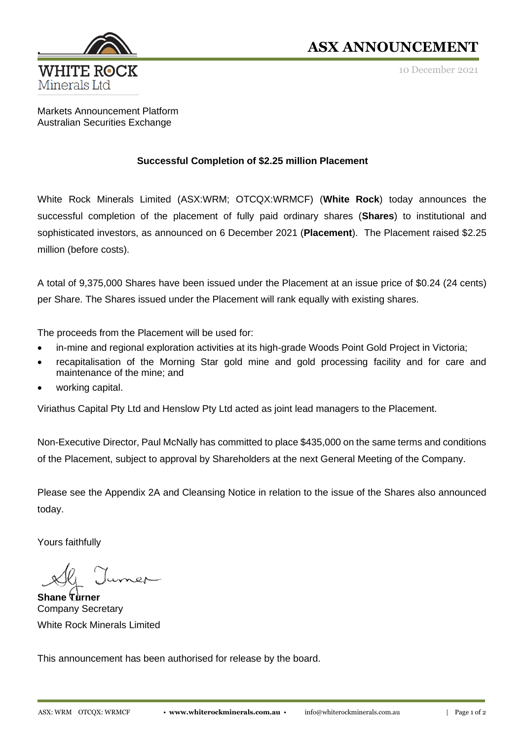

## **ASX ANNOUNCEMENT**

10 December 2021

Markets Announcement Platform Australian Securities Exchange

## **Successful Completion of \$2.25 million Placement**

White Rock Minerals Limited (ASX:WRM; OTCQX:WRMCF) (**White Rock**) today announces the successful completion of the placement of fully paid ordinary shares (**Shares**) to institutional and sophisticated investors, as announced on 6 December 2021 (**Placement**). The Placement raised \$2.25 million (before costs).

A total of 9,375,000 Shares have been issued under the Placement at an issue price of \$0.24 (24 cents) per Share. The Shares issued under the Placement will rank equally with existing shares.

The proceeds from the Placement will be used for:

- in-mine and regional exploration activities at its high-grade Woods Point Gold Project in Victoria;
- recapitalisation of the Morning Star gold mine and gold processing facility and for care and maintenance of the mine; and
- working capital.

Viriathus Capital Pty Ltd and Henslow Pty Ltd acted as joint lead managers to the Placement.

Non-Executive Director, Paul McNally has committed to place \$435,000 on the same terms and conditions of the Placement, subject to approval by Shareholders at the next General Meeting of the Company.

Please see the Appendix 2A and Cleansing Notice in relation to the issue of the Shares also announced today.

Yours faithfully

**Shane Turner** Company Secretary White Rock Minerals Limited

This announcement has been authorised for release by the board.